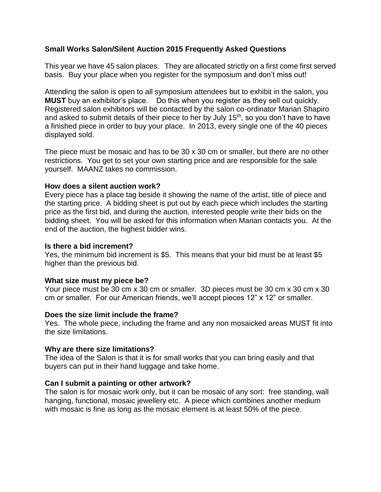# **Small Works Salon/Silent Auction 2015 Frequently Asked Questions**

This year we have 45 salon places. They are allocated strictly on a first come first served basis. Buy your place when you register for the symposium and don't miss out!

Attending the salon is open to all symposium attendees but to exhibit in the salon, you **MUST** buy an exhibitor's place. Do this when you register as they sell out quickly. Registered salon exhibitors will be contacted by the salon co-ordinator Marian Shapiro and asked to submit details of their piece to her by July 15<sup>th</sup>, so you don't have to have a finished piece in order to buy your place. In 2013, every single one of the 40 pieces displayed sold.

The piece must be mosaic and has to be 30 x 30 cm or smaller, but there are no other restrictions. You get to set your own starting price and are responsible for the sale yourself. MAANZ takes no commission.

## **How does a silent auction work?**

Every piece has a place tag beside it showing the name of the artist, title of piece and the starting price. A bidding sheet is put out by each piece which includes the starting price as the first bid, and during the auction, interested people write their bids on the bidding sheet. You will be asked for this information when Marian contacts you. At the end of the auction, the highest bidder wins.

#### **Is there a bid increment?**

Yes, the minimum bid increment is \$5. This means that your bid must be at least \$5 higher than the previous bid.

# **What size must my piece be?**

Your piece must be 30 cm x 30 cm or smaller. 3D pieces must be 30 cm x 30 cm x 30 cm or smaller. For our American friends, we'll accept pieces 12" x 12" or smaller.

# **Does the size limit include the frame?**

Yes. The whole piece, including the frame and any non mosaicked areas MUST fit into the size limitations.

#### **Why are there size limitations?**

The idea of the Salon is that it is for small works that you can bring easily and that buyers can put in their hand luggage and take home.

# **Can I submit a painting or other artwork?**

The salon is for mosaic work only, but it can be mosaic of any sort: free standing, wall hanging, functional, mosaic jewellery etc. A piece which combines another medium with mosaic is fine as long as the mosaic element is at least 50% of the piece.